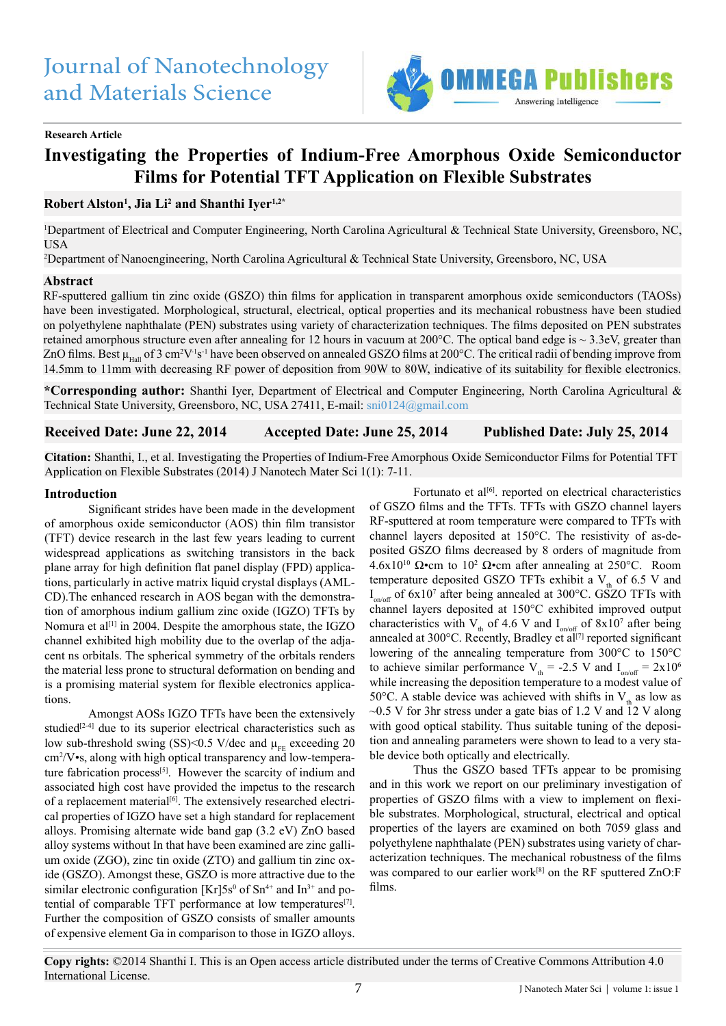

### **Research Article**

# **Investigating the Properties of Indium-Free Amorphous Oxide Semiconductor Films for Potential TFT Application on Flexible Substrates**

**Robert Alston1 , Jia Li2 and Shanthi Iyer1,2\***

1 Department of Electrical and Computer Engineering, North Carolina Agricultural & Technical State University, Greensboro, NC, **USA** 

2 Department of Nanoengineering, North Carolina Agricultural & Technical State University, Greensboro, NC, USA

#### **Abstract**

RF-sputtered gallium tin zinc oxide (GSZO) thin films for application in transparent amorphous oxide semiconductors (TAOSs) have been investigated. Morphological, structural, electrical, optical properties and its mechanical robustness have been studied on polyethylene naphthalate (PEN) substrates using variety of characterization techniques. The films deposited on PEN substrates retained amorphous structure even after annealing for 12 hours in vacuum at 200°C. The optical band edge is ~ 3.3eV, greater than ZnO films. Best  $\mu_{\text{Hall}}$  of 3 cm<sup>2</sup>V<sup>-1</sup>s<sup>-1</sup> have been observed on annealed GSZO films at 200°C. The critical radii of bending improve from 14.5mm to 11mm with decreasing RF power of deposition from 90W to 80W, indicative of its suitability for flexible electronics.

**\*Corresponding author:** Shanthi Iyer, Department of Electrical and Computer Engineering, North Carolina Agricultural & Technical State University, Greensboro, NC, USA 27411, E-mail: [sni0124@gmail.com](mailto:sni0124%40gmail.com?subject=)

**Received Date: June 22, 2014 Accepted Date: June 25, 2014 Published Date: July 25, 2014**

**Citation:** Shanthi, I., et al. Investigating the Properties of Indium-Free Amorphous Oxide Semiconductor Films for Potential TFT Application on Flexible Substrates (2014) J Nanotech Mater Sci 1(1): 7-11.

#### **Introduction**

Significant strides have been made in the development of amorphous oxide semiconductor (AOS) thin film transistor (TFT) device research in the last few years leading to current widespread applications as switching transistors in the back plane array for high definition flat panel display (FPD) applications, particularly in active matrix liquid crystal displays (AML-CD).The enhanced research in AOS began with the demonstration of amorphous indium gallium zinc oxide (IGZO) TFTs by Nomura et al<sup>[1]</sup> in 2004. Despite the amorphous state, the IGZO channel exhibited high mobility due to the overlap of the adjacent ns orbitals. The spherical symmetry of the orbitals renders the material less prone to structural deformation on bending and is a promising material system for flexible electronics applications.

Amongst AOSs IGZO TFTs have been the extensively studied<sup>[2-4]</sup> due to its superior electrical characteristics such as low sub-threshold swing (SS)<0.5 V/dec and  $\mu_{FE}$  exceeding 20 cm<sup>2</sup> /V•s, along with high optical transparency and low-temperature fabrication process<sup>[5]</sup>. However the scarcity of indium and associated high cost have provided the impetus to the research of a replacement material<sup>[6]</sup>. The extensively researched electrical properties of IGZO have set a high standard for replacement alloys. Promising alternate wide band gap (3.2 eV) ZnO based alloy systems without In that have been examined are zinc gallium oxide (ZGO), zinc tin oxide (ZTO) and gallium tin zinc oxide (GSZO). Amongst these, GSZO is more attractive due to the similar electronic configuration [Kr]5s<sup>0</sup> of Sn<sup>4+</sup> and In<sup>3+</sup> and potential of comparable TFT performance at low temperatures<sup>[7]</sup>. Further the composition of GSZO consists of smaller amounts of expensive element Ga in comparison to those in IGZO alloys.

Fortunato et al<sup>[6]</sup>. reported on electrical characteristics of GSZO films and the TFTs. TFTs with GSZO channel layers RF-sputtered at room temperature were compared to TFTs with channel layers deposited at 150°C. The resistivity of as-deposited GSZO films decreased by 8 orders of magnitude from 4.6x10<sup>10</sup> Ω•cm to 10<sup>2</sup> Ω•cm after annealing at 250°C. Room temperature deposited GSZO TFTs exhibit a  $V<sub>a</sub>$  of 6.5 V and  $I_{on/off}$  of 6x10<sup>7</sup> after being annealed at 300°C. GSZO TFTs with channel layers deposited at 150°C exhibited improved output characteristics with  $V_{th}$  of 4.6 V and  $I_{on/off}$  of 8x10<sup>7</sup> after being annealed at 300°C. Recently, Bradley et al<sup>[7]</sup> reported significant lowering of the annealing temperature from 300°C to 150°C to achieve similar performance  $V_{th} = -2.5$  V and  $I_{on/off} = 2x10^6$ while increasing the deposition temperature to a modest value of 50°C. A stable device was achieved with shifts in  $V_{th}$  as low as  $\sim$ 0.5 V for 3hr stress under a gate bias of 1.2 V and  $\frac{1}{12}$  V along with good optical stability. Thus suitable tuning of the deposition and annealing parameters were shown to lead to a very stable device both optically and electrically.

Thus the GSZO based TFTs appear to be promising and in this work we report on our preliminary investigation of properties of GSZO films with a view to implement on flexible substrates. Morphological, structural, electrical and optical properties of the layers are examined on both 7059 glass and polyethylene naphthalate (PEN) substrates using variety of characterization techniques. The mechanical robustness of the films was compared to our earlier work<sup>[8]</sup> on the RF sputtered ZnO:F films.

**Copy rights:** ©2014 Shanthi I. This is an Open access article distributed under the terms of Creative Commons Attribution 4.0 International License.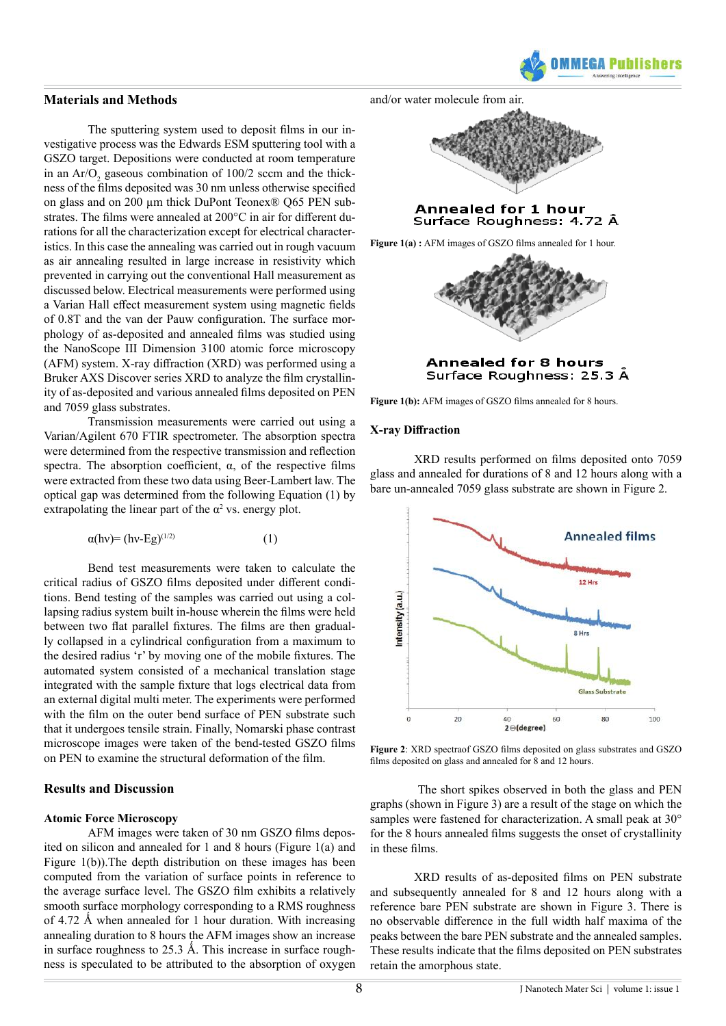

### **Materials and Methods**

The sputtering system used to deposit films in our investigative process was the Edwards ESM sputtering tool with a GSZO target. Depositions were conducted at room temperature in an  $Ar/O_2$  gaseous combination of 100/2 sccm and the thickness of the films deposited was 30 nm unless otherwise specified on glass and on 200 µm thick DuPont Teonex® Q65 PEN substrates. The films were annealed at 200°C in air for different durations for all the characterization except for electrical characteristics. In this case the annealing was carried out in rough vacuum as air annealing resulted in large increase in resistivity which prevented in carrying out the conventional Hall measurement as discussed below. Electrical measurements were performed using a Varian Hall effect measurement system using magnetic fields of 0.8T and the van der Pauw configuration. The surface morphology of as-deposited and annealed films was studied using the NanoScope III Dimension 3100 atomic force microscopy (AFM) system. X-ray diffraction (XRD) was performed using a Bruker AXS Discover series XRD to analyze the film crystallinity of as-deposited and various annealed films deposited on PEN and 7059 glass substrates.

Transmission measurements were carried out using a Varian/Agilent 670 FTIR spectrometer. The absorption spectra were determined from the respective transmission and reflection spectra. The absorption coefficient,  $\alpha$ , of the respective films were extracted from these two data using Beer-Lambert law. The optical gap was determined from the following Equation (1) by extrapolating the linear part of the  $\alpha^2$  vs. energy plot.

$$
\alpha(hv) = (hv - Eg)^{(1/2)} \tag{1}
$$

Bend test measurements were taken to calculate the critical radius of GSZO films deposited under different conditions. Bend testing of the samples was carried out using a collapsing radius system built in-house wherein the films were held between two flat parallel fixtures. The films are then gradually collapsed in a cylindrical configuration from a maximum to the desired radius 'r' by moving one of the mobile fixtures. The automated system consisted of a mechanical translation stage integrated with the sample fixture that logs electrical data from an external digital multi meter. The experiments were performed with the film on the outer bend surface of PEN substrate such that it undergoes tensile strain. Finally, Nomarski phase contrast microscope images were taken of the bend-tested GSZO films on PEN to examine the structural deformation of the film.

# **Results and Discussion**

#### **Atomic Force Microscopy**

AFM images were taken of 30 nm GSZO films deposited on silicon and annealed for 1 and 8 hours (Figure 1(a) and Figure 1(b)).The depth distribution on these images has been computed from the variation of surface points in reference to the average surface level. The GSZO film exhibits a relatively smooth surface morphology corresponding to a RMS roughness of 4.72 Å when annealed for 1 hour duration. With increasing annealing duration to 8 hours the AFM images show an increase in surface roughness to 25.3 Å. This increase in surface roughness is speculated to be attributed to the absorption of oxygen

and/or water molecule from air.



#### **Annealed for 1 hour** Surface Roughness: 4.72 Å

**Figure 1(a) :** AFM images of GSZO films annealed for 1 hour.





Figure 1(b): AFM images of GSZO films annealed for 8 hours.

#### **X-ray Diffraction**

XRD results performed on films deposited onto 7059 glass and annealed for durations of 8 and 12 hours along with a bare un-annealed 7059 glass substrate are shown in Figure 2.



**Figure 2**: XRD spectraof GSZO films deposited on glass substrates and GSZO films deposited on glass and annealed for 8 and 12 hours.

 The short spikes observed in both the glass and PEN graphs (shown in Figure 3) are a result of the stage on which the samples were fastened for characterization. A small peak at 30° for the 8 hours annealed films suggests the onset of crystallinity in these films.

XRD results of as-deposited films on PEN substrate and subsequently annealed for 8 and 12 hours along with a reference bare PEN substrate are shown in Figure 3. There is no observable difference in the full width half maxima of the peaks between the bare PEN substrate and the annealed samples. These results indicate that the films deposited on PEN substrates retain the amorphous state.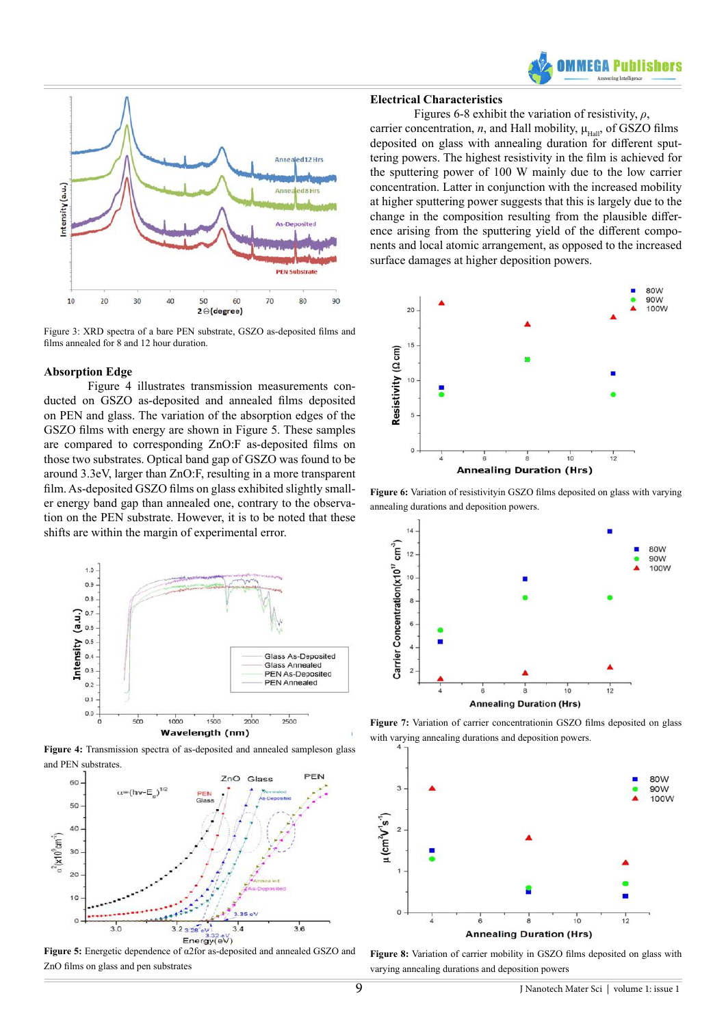



Figure 3: XRD spectra of a bare PEN substrate, GSZO as-deposited films and films annealed for 8 and 12 hour duration.

## **Absorption Edge**

Figure 4 illustrates transmission measurements conducted on GSZO as-deposited and annealed films deposited on PEN and glass. The variation of the absorption edges of the GSZO films with energy are shown in Figure 5. These samples are compared to corresponding ZnO:F as-deposited films on those two substrates. Optical band gap of GSZO was found to be around 3.3eV, larger than ZnO:F, resulting in a more transparent film. As-deposited GSZO films on glass exhibited slightly smaller energy band gap than annealed one, contrary to the observation on the PEN substrate. However, it is to be noted that these shifts are within the margin of experimental error.



**Figure 4:** Transmission spectra of as-deposited and annealed sampleson glass and PEN substrates.



**Figure 5:** Energetic dependence of α2for as-deposited and annealed GSZO and ZnO films on glass and pen substrates

## **Electrical Characteristics**

Figures 6-8 exhibit the variation of resistivity, *ρ*, carrier concentration, *n*, and Hall mobility,  $\mu_{\text{Hall}}$ , of GSZO films deposited on glass with annealing duration for different sputtering powers. The highest resistivity in the film is achieved for the sputtering power of 100 W mainly due to the low carrier concentration. Latter in conjunction with the increased mobility at higher sputtering power suggests that this is largely due to the change in the composition resulting from the plausible difference arising from the sputtering yield of the different components and local atomic arrangement, as opposed to the increased surface damages at higher deposition powers.



**Figure 6:** Variation of resistivityin GSZO films deposited on glass with varying annealing durations and deposition powers.



**Figure 7:** Variation of carrier concentrationin GSZO films deposited on glass with varying annealing durations and deposition powers.



**Figure 8:** Variation of carrier mobility in GSZO films deposited on glass with varying annealing durations and deposition powers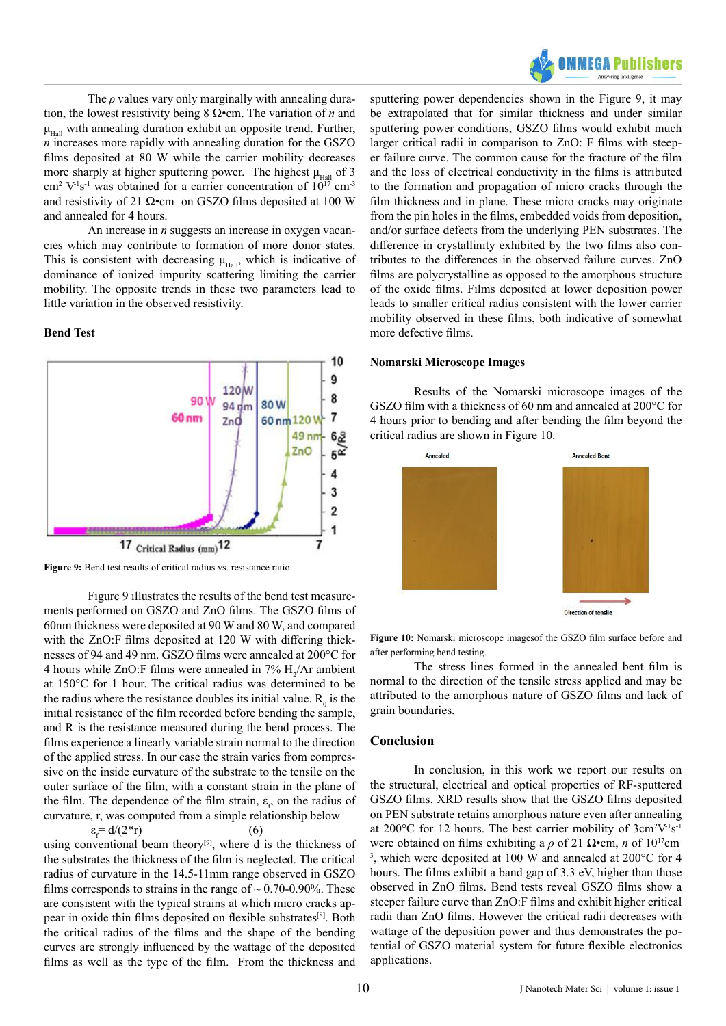

The *ρ* values vary only marginally with annealing duration, the lowest resistivity being 8 Ω•cm. The variation of *n* and  $\mu_{\text{Hall}}$  with annealing duration exhibit an opposite trend. Further, *n* increases more rapidly with annealing duration for the GSZO films deposited at 80 W while the carrier mobility decreases more sharply at higher sputtering power. The highest  $\mu_{\text{Hall}}$  of 3  $\text{cm}^2$  V<sup>-1</sup>s<sup>-1</sup> was obtained for a carrier concentration of  $10^{17}$  cm<sup>-3</sup> and resistivity of 21  $\Omega$ •cm on GSZO films deposited at 100 W and annealed for 4 hours.

An increase in *n* suggests an increase in oxygen vacancies which may contribute to formation of more donor states. This is consistent with decreasing  $\mu_{\text{Hall}}$ , which is indicative of dominance of ionized impurity scattering limiting the carrier mobility. The opposite trends in these two parameters lead to little variation in the observed resistivity.

#### **Bend Test**



**Figure 9:** Bend test results of critical radius vs. resistance ratio

Figure 9 illustrates the results of the bend test measurements performed on GSZO and ZnO films. The GSZO films of 60nm thickness were deposited at 90 W and 80 W, and compared with the ZnO:F films deposited at 120 W with differing thicknesses of 94 and 49 nm. GSZO films were annealed at 200°C for 4 hours while  $ZnO$ : F films were annealed in 7%  $H_2/Ar$  ambient at 150°C for 1 hour. The critical radius was determined to be the radius where the resistance doubles its initial value.  $R_0$  is the initial resistance of the film recorded before bending the sample, and R is the resistance measured during the bend process. The films experience a linearly variable strain normal to the direction of the applied stress. In our case the strain varies from compressive on the inside curvature of the substrate to the tensile on the outer surface of the film, with a constant strain in the plane of the film. The dependence of the film strain,  $\varepsilon$ <sub>p</sub> on the radius of curvature, r, was computed from a simple relationship below

$$
\varepsilon_f = d/(2^*r)
$$
 (6)  
using conventional beam theory<sup>[9]</sup>, where d is the thickness of  
the substrates the thickness of the film is neglected. The critical  
radius of curvature in the 14.5-11mm range observed in GSZO  
films corresponds to strains in the range of ~ 0.70-0.90%. These  
are consistent with the typical strains at which micro cracks ap-  
pear in oxide thin films deposited on flexible substrates<sup>[8]</sup>. Both  
the critical radius of the films and the shape of the bending  
curves are strongly influenced by the watage of the deposited  
films as well as the type of the film. From the thickness and

sputtering power dependencies shown in the Figure 9, it may be extrapolated that for similar thickness and under similar sputtering power conditions, GSZO films would exhibit much larger critical radii in comparison to ZnO: F films with steeper failure curve. The common cause for the fracture of the film and the loss of electrical conductivity in the films is attributed to the formation and propagation of micro cracks through the film thickness and in plane. These micro cracks may originate from the pin holes in the films, embedded voids from deposition, and/or surface defects from the underlying PEN substrates. The difference in crystallinity exhibited by the two films also contributes to the differences in the observed failure curves. ZnO films are polycrystalline as opposed to the amorphous structure of the oxide films. Films deposited at lower deposition power leads to smaller critical radius consistent with the lower carrier mobility observed in these films, both indicative of somewhat more defective films.

#### **Nomarski Microscope Images**

Results of the Nomarski microscope images of the GSZO film with a thickness of 60 nm and annealed at 200°C for 4 hours prior to bending and after bending the film beyond the critical radius are shown in Figure 10.



**Figure 10:** Nomarski microscope imagesof the GSZO film surface before and after performing bend testing.

The stress lines formed in the annealed bent film is normal to the direction of the tensile stress applied and may be attributed to the amorphous nature of GSZO films and lack of grain boundaries.

# **Conclusion**

In conclusion, in this work we report our results on the structural, electrical and optical properties of RF-sputtered GSZO films. XRD results show that the GSZO films deposited on PEN substrate retains amorphous nature even after annealing at 200 $^{\circ}$ C for 12 hours. The best carrier mobility of  $3cm<sup>2</sup>V<sup>-1</sup>s<sup>-1</sup>$ were obtained on films exhibiting a  $\rho$  of 21  $\Omega$ •cm, *n* of 10<sup>17</sup>cm 3 , which were deposited at 100 W and annealed at 200°C for 4 hours. The films exhibit a band gap of 3.3 eV, higher than those observed in ZnO films. Bend tests reveal GSZO films show a steeper failure curve than ZnO:F films and exhibit higher critical radii than ZnO films. However the critical radii decreases with wattage of the deposition power and thus demonstrates the potential of GSZO material system for future flexible electronics applications.